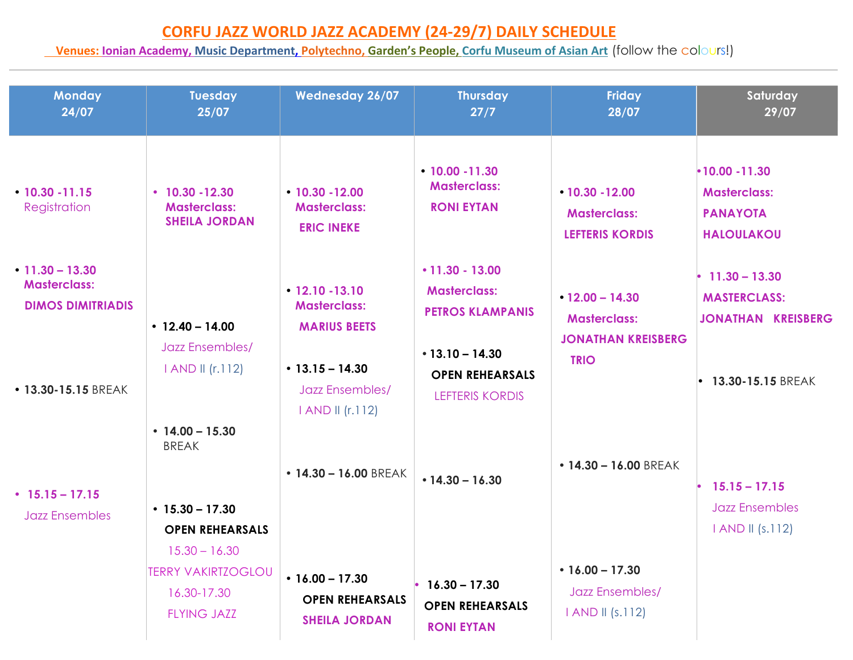## **CORFU&JAZZ WORLD JAZZ&ACADEMY (24329/7) DAILY&SCHEDULE**

## **<u>& Venues: Ionian Academy, Music Department, Polytechno, Garden's People, Corfu Museum of Asian Art</u> (follow the colours!)**

| <b>Monday</b><br>24/07                                                                                                                   | <b>Tuesday</b><br>25/07                                                                                                                                                       | <b>Wednesday 26/07</b>                                                                                                                                                                          | <b>Thursday</b><br>27/7                                                                                                                                                                                       | <b>Friday</b><br>28/07                                                                                                                                             | Saturday<br>29/07                                                                                                                                                                       |
|------------------------------------------------------------------------------------------------------------------------------------------|-------------------------------------------------------------------------------------------------------------------------------------------------------------------------------|-------------------------------------------------------------------------------------------------------------------------------------------------------------------------------------------------|---------------------------------------------------------------------------------------------------------------------------------------------------------------------------------------------------------------|--------------------------------------------------------------------------------------------------------------------------------------------------------------------|-----------------------------------------------------------------------------------------------------------------------------------------------------------------------------------------|
| $\cdot$ 10.30 - 11.15<br>Registration<br>$\cdot$ 11.30 - 13.30<br><b>Masterclass:</b><br><b>DIMOS DIMITRIADIS</b><br>• 13.30-15.15 BREAK | $\cdot$ 10.30 - 12.30<br><b>Masterclass:</b><br><b>SHEILA JORDAN</b><br>$\cdot$ 12.40 - 14.00<br><b>Jazz Ensembles/</b><br>I AND II (r.112)                                   | $-10.30 - 12.00$<br><b>Masterclass:</b><br><b>ERIC INEKE</b><br>$• 12.10 - 13.10$<br><b>Masterclass:</b><br><b>MARIUS BEETS</b><br>$\cdot$ 13.15 - 14.30<br>Jazz Ensembles/<br>I AND II (r.112) | $\cdot$ 10.00 - 11.30<br><b>Masterclass:</b><br><b>RONI EYTAN</b><br>$\cdot$ 11.30 - 13.00<br><b>Masterclass:</b><br><b>PETROS KLAMPANIS</b><br>$•13.10 - 14.30$<br><b>OPEN REHEARSALS</b><br>LEFTERIS KORDIS | $\cdot$ 10.30 - 12.00<br><b>Masterclass:</b><br><b>LEFTERIS KORDIS</b><br>$\cdot$ 12.00 - 14.30<br><b>Masterclass:</b><br><b>JONATHAN KREISBERG</b><br><b>TRIO</b> | $\cdot$ 10.00 -11.30<br><b>Masterclass:</b><br><b>PANAYOTA</b><br><b>HALOULAKOU</b><br>$\cdot$ 11.30 - 13.30<br><b>MASTERCLASS:</b><br><b>JONATHAN KREISBERG</b><br>• 13.30-15.15 BREAK |
| $\cdot$ 15.15 - 17.15<br><b>Jazz Ensembles</b>                                                                                           | $\cdot$ 14.00 - 15.30<br><b>BREAK</b><br>$\cdot$ 15.30 - 17.30<br><b>OPEN REHEARSALS</b><br>$15.30 - 16.30$<br><b>TERRY VAKIRTZOGLOU</b><br>16.30-17.30<br><b>FLYING JAZZ</b> | $\cdot$ 14.30 - 16.00 BREAK<br>$\cdot$ 16.00 - 17.30<br><b>OPEN REHEARSALS</b><br><b>SHEILA JORDAN</b>                                                                                          | $\cdot$ 14.30 - 16.30<br>$16.30 - 17.30$<br><b>OPEN REHEARSALS</b><br><b>RONI EYTAN</b>                                                                                                                       | $\cdot$ 14.30 - 16.00 BREAK<br>$\cdot$ 16.00 - 17.30<br>Jazz Ensembles/<br>I AND II (s.112)                                                                        | $15.15 - 17.15$<br><b>Jazz Ensembles</b><br>I AND II (s.112)                                                                                                                            |